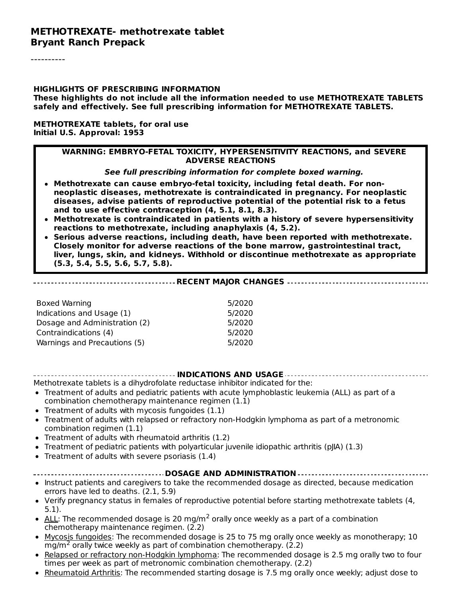#### **METHOTREXATE- methotrexate tablet Bryant Ranch Prepack**

----------

#### **HIGHLIGHTS OF PRESCRIBING INFORMATION**

**These highlights do not include all the information needed to use METHOTREXATE TABLETS safely and effectively. See full prescribing information for METHOTREXATE TABLETS.**

#### **METHOTREXATE tablets, for oral use Initial U.S. Approval: 1953**

#### **WARNING: EMBRYO-FETAL TOXICITY, HYPERSENSITIVITY REACTIONS, and SEVERE ADVERSE REACTIONS**

**See full prescribing information for complete boxed warning.**

- **Methotrexate can cause embryo-fetal toxicity, including fetal death. For nonneoplastic diseases, methotrexate is contraindicated in pregnancy. For neoplastic diseases, advise patients of reproductive potential of the potential risk to a fetus and to use effective contraception (4, 5.1, 8.1, 8.3).**
- **Methotrexate is contraindicated in patients with a history of severe hypersensitivity reactions to methotrexate, including anaphylaxis (4, 5.2).**
- **Serious adverse reactions, including death, have been reported with methotrexate. Closely monitor for adverse reactions of the bone marrow, gastrointestinal tract, liver, lungs, skin, and kidneys. Withhold or discontinue methotrexate as appropriate (5.3, 5.4, 5.5, 5.6, 5.7, 5.8).**

#### **RECENT MAJOR CHANGES**

| 5/2020 |
|--------|
| 5/2020 |
| 5/2020 |
| 5/2020 |
| 5/2020 |
|        |

#### **INDICATIONS AND USAGE**

Methotrexate tablets is a dihydrofolate reductase inhibitor indicated for the:

- Treatment of adults and pediatric patients with acute lymphoblastic leukemia (ALL) as part of a combination chemotherapy maintenance regimen (1.1)
- $\bullet$  Treatment of adults with mycosis fungoides (1.1)
- Treatment of adults with relapsed or refractory non-Hodgkin lymphoma as part of a metronomic combination regimen (1.1)
- Treatment of adults with rheumatoid arthritis (1.2)
- Treatment of pediatric patients with polyarticular juvenile idiopathic arthritis (pJIA) (1.3)
- Treatment of adults with severe psoriasis (1.4)

#### **DOSAGE AND ADMINISTRATION**

- Instruct patients and caregivers to take the recommended dosage as directed, because medication errors have led to deaths. (2.1, 5.9)
- Verify pregnancy status in females of reproductive potential before starting methotrexate tablets (4,  $\bullet$ 5.1).
- $ALL$ : The recommended dosage is 20 mg/m<sup>2</sup> orally once weekly as a part of a combination chemotherapy maintenance regimen. (2.2)
- Mycosis fungoides: The recommended dosage is 25 to 75 mg orally once weekly as monotherapy; 10  $mg/m<sup>2</sup>$  orally twice weekly as part of combination chemotherapy. (2.2)
- Relapsed or refractory non-Hodgkin lymphoma: The recommended dosage is 2.5 mg orally two to four  $\bullet$ times per week as part of metronomic combination chemotherapy. (2.2)
- Rheumatoid Arthritis: The recommended starting dosage is 7.5 mg orally once weekly; adjust dose to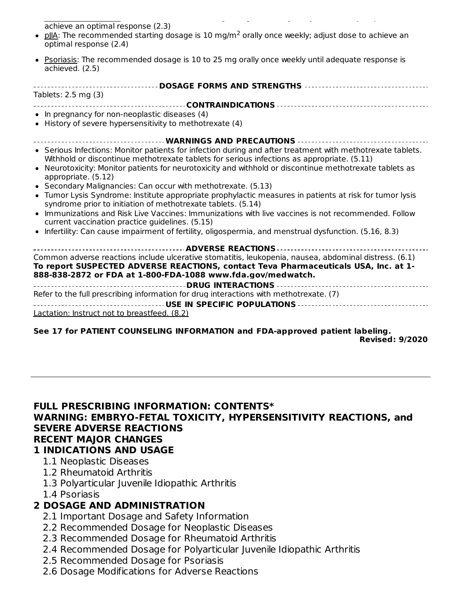Rheumatoid Arthritis: The recommended starting dosage is 7.5 mg orally once weekly; adjust dose to achieve an optimal response (2.3)

- pllA: The recommended starting dosage is 10 mg/m<sup>2</sup> orally once weekly; adjust dose to achieve an optimal response (2.4)
- Psoriasis: The recommended dosage is 10 to 25 mg orally once weekly until adequate response is achieved. (2.5)

| Tablets: 2.5 mg (3)                                                                                                                                                                                      |
|----------------------------------------------------------------------------------------------------------------------------------------------------------------------------------------------------------|
|                                                                                                                                                                                                          |
| • In pregnancy for non-neoplastic diseases (4)                                                                                                                                                           |
| • History of severe hypersensitivity to methotrexate (4)                                                                                                                                                 |
|                                                                                                                                                                                                          |
| ------------------------------ WARNINGS AND PRECAUTIONS    ---------------------                                                                                                                         |
| • Serious Infections: Monitor patients for infection during and after treatment with methotrexate tablets.<br>Withhold or discontinue methotrexate tablets for serious infections as appropriate. (5.11) |
| • Neurotoxicity: Monitor patients for neurotoxicity and withhold or discontinue methotrexate tablets as<br>appropriate. (5.12)                                                                           |
| • Secondary Malignancies: Can occur with methotrexate. (5.13)                                                                                                                                            |
| • Tumor Lysis Syndrome: Institute appropriate prophylactic measures in patients at risk for tumor lysis<br>syndrome prior to initiation of methotrexate tablets. (5.14)                                  |
| • Immunizations and Risk Live Vaccines: Immunizations with live vaccines is not recommended. Follow<br>current vaccination practice guidelines. (5.15)                                                   |
| • Infertility: Can cause impairment of fertility, oligospermia, and menstrual dysfunction. (5.16, 8.3)                                                                                                   |
|                                                                                                                                                                                                          |
| Common adverse reactions include ulcerative stomatitis, leukopenia, nausea, abdominal distress. (6.1)                                                                                                    |
| To report SUSPECTED ADVERSE REACTIONS, contact Teva Pharmaceuticals USA, Inc. at 1-                                                                                                                      |
| 888-838-2872 or FDA at 1-800-FDA-1088 www.fda.gov/medwatch.                                                                                                                                              |
|                                                                                                                                                                                                          |
| Refer to the full prescribing information for drug interactions with methotrexate. (7)                                                                                                                   |
|                                                                                                                                                                                                          |
| Lactation: Instruct not to breastfeed. (8.2)                                                                                                                                                             |
|                                                                                                                                                                                                          |
| See 17 for PATIENT COUNSELING INFORMATION and FDA-approved patient labeling.                                                                                                                             |

**Revised: 9/2020**

#### **FULL PRESCRIBING INFORMATION: CONTENTS\* WARNING: EMBRYO-FETAL TOXICITY, HYPERSENSITIVITY REACTIONS, and SEVERE ADVERSE REACTIONS RECENT MAJOR CHANGES 1 INDICATIONS AND USAGE**

- 1.1 Neoplastic Diseases
- 1.2 Rheumatoid Arthritis
- 1.3 Polyarticular Juvenile Idiopathic Arthritis
- 1.4 Psoriasis

# **2 DOSAGE AND ADMINISTRATION**

- 2.1 Important Dosage and Safety Information
- 2.2 Recommended Dosage for Neoplastic Diseases
- 2.3 Recommended Dosage for Rheumatoid Arthritis
- 2.4 Recommended Dosage for Polyarticular Juvenile Idiopathic Arthritis
- 2.5 Recommended Dosage for Psoriasis
- 2.6 Dosage Modifications for Adverse Reactions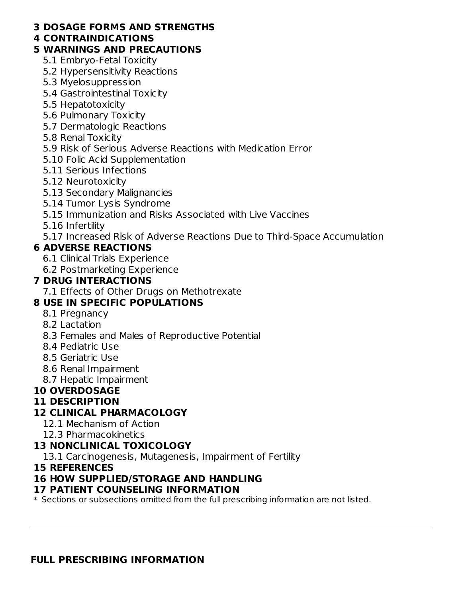#### **3 DOSAGE FORMS AND STRENGTHS**

#### **4 CONTRAINDICATIONS**

#### **5 WARNINGS AND PRECAUTIONS**

- 5.1 Embryo-Fetal Toxicity
- 5.2 Hypersensitivity Reactions
- 5.3 Myelosuppression
- 5.4 Gastrointestinal Toxicity
- 5.5 Hepatotoxicity
- 5.6 Pulmonary Toxicity
- 5.7 Dermatologic Reactions
- 5.8 Renal Toxicity
- 5.9 Risk of Serious Adverse Reactions with Medication Error
- 5.10 Folic Acid Supplementation
- 5.11 Serious Infections
- 5.12 Neurotoxicity
- 5.13 Secondary Malignancies
- 5.14 Tumor Lysis Syndrome
- 5.15 Immunization and Risks Associated with Live Vaccines
- 5.16 Infertility
- 5.17 Increased Risk of Adverse Reactions Due to Third-Space Accumulation

## **6 ADVERSE REACTIONS**

- 6.1 Clinical Trials Experience
- 6.2 Postmarketing Experience

### **7 DRUG INTERACTIONS**

7.1 Effects of Other Drugs on Methotrexate

# **8 USE IN SPECIFIC POPULATIONS**

- 8.1 Pregnancy
- 8.2 Lactation
- 8.3 Females and Males of Reproductive Potential
- 8.4 Pediatric Use
- 8.5 Geriatric Use
- 8.6 Renal Impairment
- 8.7 Hepatic Impairment

### **10 OVERDOSAGE**

### **11 DESCRIPTION**

### **12 CLINICAL PHARMACOLOGY**

- 12.1 Mechanism of Action
- 12.3 Pharmacokinetics

### **13 NONCLINICAL TOXICOLOGY**

13.1 Carcinogenesis, Mutagenesis, Impairment of Fertility

### **15 REFERENCES**

### **16 HOW SUPPLIED/STORAGE AND HANDLING**

### **17 PATIENT COUNSELING INFORMATION**

 $\ast$  Sections or subsections omitted from the full prescribing information are not listed.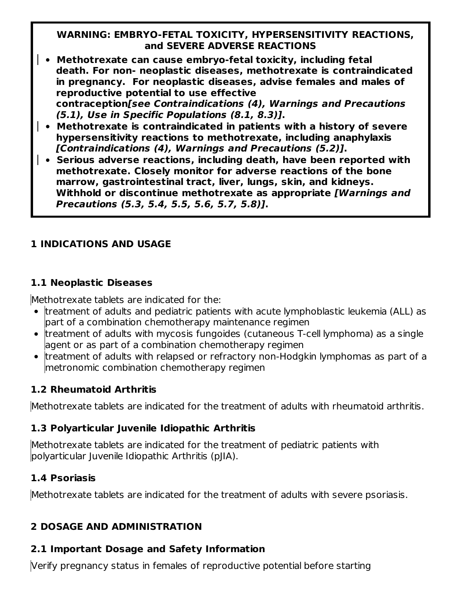#### **WARNING: EMBRYO-FETAL TOXICITY, HYPERSENSITIVITY REACTIONS, and SEVERE ADVERSE REACTIONS**

- **Methotrexate can cause embryo-fetal toxicity, including fetal death. For non- neoplastic diseases, methotrexate is contraindicated in pregnancy. For neoplastic diseases, advise females and males of reproductive potential to use effective contraception[see Contraindications (4), Warnings and Precautions (5.1), Use in Specific Populations (8.1, 8.3)].**
- **Methotrexate is contraindicated in patients with a history of severe hypersensitivity reactions to methotrexate, including anaphylaxis [Contraindications (4), Warnings and Precautions (5.2)].**
- **Serious adverse reactions, including death, have been reported with methotrexate. Closely monitor for adverse reactions of the bone marrow, gastrointestinal tract, liver, lungs, skin, and kidneys. Withhold or discontinue methotrexate as appropriate [Warnings and Precautions (5.3, 5.4, 5.5, 5.6, 5.7, 5.8)].**

## **1 INDICATIONS AND USAGE**

### **1.1 Neoplastic Diseases**

Methotrexate tablets are indicated for the:

- treatment of adults and pediatric patients with acute lymphoblastic leukemia (ALL) as part of a combination chemotherapy maintenance regimen
- treatment of adults with mycosis fungoides (cutaneous T-cell lymphoma) as a single agent or as part of a combination chemotherapy regimen
- $\bullet$  treatment of adults with relapsed or refractory non-Hodgkin lymphomas as part of a metronomic combination chemotherapy regimen

## **1.2 Rheumatoid Arthritis**

Methotrexate tablets are indicated for the treatment of adults with rheumatoid arthritis.

## **1.3 Polyarticular Juvenile Idiopathic Arthritis**

Methotrexate tablets are indicated for the treatment of pediatric patients with polyarticular Juvenile Idiopathic Arthritis (pJIA).

## **1.4 Psoriasis**

Methotrexate tablets are indicated for the treatment of adults with severe psoriasis.

## **2 DOSAGE AND ADMINISTRATION**

## **2.1 Important Dosage and Safety Information**

Verify pregnancy status in females of reproductive potential before starting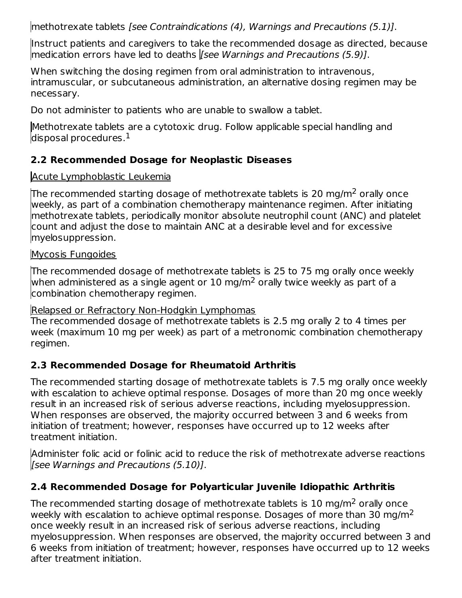methotrexate tablets [see Contraindications (4), Warnings and Precautions (5.1)].

Instruct patients and caregivers to take the recommended dosage as directed, because medication errors have led to deaths *[see Warnings and Precautions (5.9)]*.

When switching the dosing regimen from oral administration to intravenous, intramuscular, or subcutaneous administration, an alternative dosing regimen may be necessary.

Do not administer to patients who are unable to swallow a tablet.

Methotrexate tablets are a cytotoxic drug. Follow applicable special handling and disposal procedures. $^{\rm 1}$ 

## **2.2 Recommended Dosage for Neoplastic Diseases**

## Acute Lymphoblastic Leukemia

The recommended starting dosage of methotrexate tablets is 20 mg/m<sup>2</sup> orally once weekly, as part of a combination chemotherapy maintenance regimen. After initiating methotrexate tablets, periodically monitor absolute neutrophil count (ANC) and platelet count and adjust the dose to maintain ANC at a desirable level and for excessive myelosuppression.

### Mycosis Fungoides

The recommended dosage of methotrexate tablets is 25 to 75 mg orally once weekly when administered as a single agent or  $10$  mg/m<sup>2</sup> orally twice weekly as part of a combination chemotherapy regimen.

### Relapsed or Refractory Non-Hodgkin Lymphomas

The recommended dosage of methotrexate tablets is 2.5 mg orally 2 to 4 times per week (maximum 10 mg per week) as part of a metronomic combination chemotherapy regimen.

## **2.3 Recommended Dosage for Rheumatoid Arthritis**

The recommended starting dosage of methotrexate tablets is 7.5 mg orally once weekly with escalation to achieve optimal response. Dosages of more than 20 mg once weekly result in an increased risk of serious adverse reactions, including myelosuppression. When responses are observed, the majority occurred between 3 and 6 weeks from initiation of treatment; however, responses have occurred up to 12 weeks after treatment initiation.

Administer folic acid or folinic acid to reduce the risk of methotrexate adverse reactions [see Warnings and Precautions (5.10)].

## **2.4 Recommended Dosage for Polyarticular Juvenile Idiopathic Arthritis**

The recommended starting dosage of methotrexate tablets is  $10$  mg/m<sup>2</sup> orally once weekly with escalation to achieve optimal response. Dosages of more than 30 mg/m<sup>2</sup> once weekly result in an increased risk of serious adverse reactions, including myelosuppression. When responses are observed, the majority occurred between 3 and 6 weeks from initiation of treatment; however, responses have occurred up to 12 weeks after treatment initiation.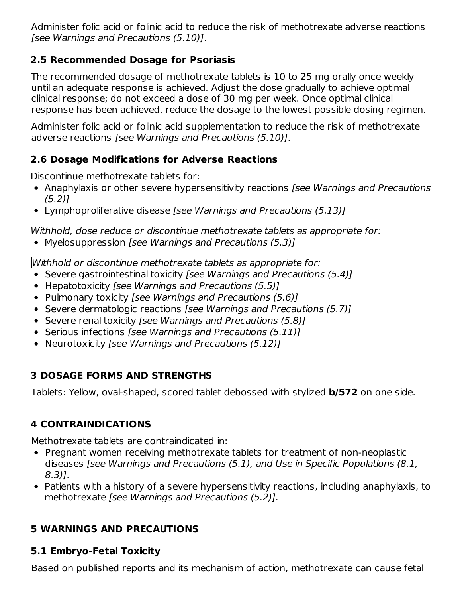Administer folic acid or folinic acid to reduce the risk of methotrexate adverse reactions [see Warnings and Precautions (5.10)].

### **2.5 Recommended Dosage for Psoriasis**

The recommended dosage of methotrexate tablets is 10 to 25 mg orally once weekly until an adequate response is achieved. Adjust the dose gradually to achieve optimal clinical response; do not exceed a dose of 30 mg per week. Once optimal clinical response has been achieved, reduce the dosage to the lowest possible dosing regimen.

Administer folic acid or folinic acid supplementation to reduce the risk of methotrexate adverse reactions [*see Warnings and Precautions (5.10)*].

# **2.6 Dosage Modifications for Adverse Reactions**

Discontinue methotrexate tablets for:

- Anaphylaxis or other severe hypersensitivity reactions [see Warnings and Precautions  $(5.2)$ ]
- Lymphoproliferative disease [see Warnings and Precautions (5.13)]

Withhold, dose reduce or discontinue methotrexate tablets as appropriate for:

• Myelosuppression [see Warnings and Precautions (5.3)]

Withhold or discontinue methotrexate tablets as appropriate for:

- Severe gastrointestinal toxicity *[see Warnings and Precautions (5.4)]*
- Hepatotoxicity [see Warnings and Precautions (5.5)]
- Pulmonary toxicity *[see Warnings and Precautions (5.6)]*
- Severe dermatologic reactions *[see Warnings and Precautions (5.7)]*
- Severe renal toxicity *[see Warnings and Precautions (5.8)]*
- Serious infections *[see Warnings and Precautions (5.11)]*
- Neurotoxicity [see Warnings and Precautions (5.12)]

# **3 DOSAGE FORMS AND STRENGTHS**

Tablets: Yellow, oval-shaped, scored tablet debossed with stylized **b/572** on one side.

# **4 CONTRAINDICATIONS**

Methotrexate tablets are contraindicated in:

- Pregnant women receiving methotrexate tablets for treatment of non-neoplastic diseases [see Warnings and Precautions (5.1), and Use in Specific Populations (8.1, 8.3)].
- Patients with a history of a severe hypersensitivity reactions, including anaphylaxis, to methotrexate [see Warnings and Precautions (5.2)].

# **5 WARNINGS AND PRECAUTIONS**

# **5.1 Embryo-Fetal Toxicity**

Based on published reports and its mechanism of action, methotrexate can cause fetal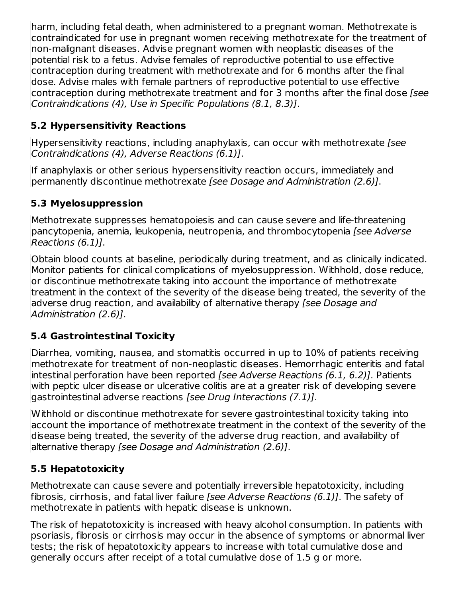harm, including fetal death, when administered to a pregnant woman. Methotrexate is contraindicated for use in pregnant women receiving methotrexate for the treatment of non-malignant diseases. Advise pregnant women with neoplastic diseases of the potential risk to a fetus. Advise females of reproductive potential to use effective contraception during treatment with methotrexate and for 6 months after the final dose. Advise males with female partners of reproductive potential to use effective  $\,$  contraception during methotrexate treatment and for 3 months after the final dose [see Contraindications (4), Use in Specific Populations (8.1, 8.3)].

# **5.2 Hypersensitivity Reactions**

Hypersensitivity reactions, including anaphylaxis, can occur with methotrexate [see Contraindications (4), Adverse Reactions (6.1)].

If anaphylaxis or other serious hypersensitivity reaction occurs, immediately and permanently discontinue methotrexate [see Dosage and Administration (2.6)].

### **5.3 Myelosuppression**

Methotrexate suppresses hematopoiesis and can cause severe and life-threatening pancytopenia, anemia, leukopenia, neutropenia, and thrombocytopenia [see Adverse Reactions (6.1)].

Obtain blood counts at baseline, periodically during treatment, and as clinically indicated. Monitor patients for clinical complications of myelosuppression. Withhold, dose reduce, or discontinue methotrexate taking into account the importance of methotrexate treatment in the context of the severity of the disease being treated, the severity of the adverse drug reaction, and availability of alternative therapy [see Dosage and Administration (2.6)].

## **5.4 Gastrointestinal Toxicity**

Diarrhea, vomiting, nausea, and stomatitis occurred in up to 10% of patients receiving methotrexate for treatment of non-neoplastic diseases. Hemorrhagic enteritis and fatal intestinal perforation have been reported [see Adverse Reactions (6.1, 6.2)]. Patients with peptic ulcer disease or ulcerative colitis are at a greater risk of developing severe gastrointestinal adverse reactions [see Drug Interactions (7.1)].

Withhold or discontinue methotrexate for severe gastrointestinal toxicity taking into account the importance of methotrexate treatment in the context of the severity of the disease being treated, the severity of the adverse drug reaction, and availability of alternative therapy [see Dosage and Administration (2.6)].

## **5.5 Hepatotoxicity**

Methotrexate can cause severe and potentially irreversible hepatotoxicity, including fibrosis, cirrhosis, and fatal liver failure *[see Adverse Reactions (6.1)]*. The safety of methotrexate in patients with hepatic disease is unknown.

The risk of hepatotoxicity is increased with heavy alcohol consumption. In patients with psoriasis, fibrosis or cirrhosis may occur in the absence of symptoms or abnormal liver tests; the risk of hepatotoxicity appears to increase with total cumulative dose and generally occurs after receipt of a total cumulative dose of 1.5 g or more.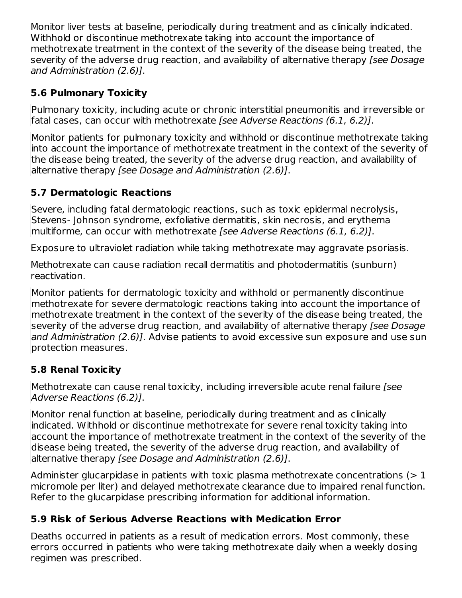Monitor liver tests at baseline, periodically during treatment and as clinically indicated. Withhold or discontinue methotrexate taking into account the importance of methotrexate treatment in the context of the severity of the disease being treated, the severity of the adverse drug reaction, and availability of alternative therapy *[see Dosage*] and Administration (2.6)].

## **5.6 Pulmonary Toxicity**

Pulmonary toxicity, including acute or chronic interstitial pneumonitis and irreversible or fatal cases, can occur with methotrexate [see Adverse Reactions (6.1, 6.2)].

Monitor patients for pulmonary toxicity and withhold or discontinue methotrexate taking into account the importance of methotrexate treatment in the context of the severity of the disease being treated, the severity of the adverse drug reaction, and availability of alternative therapy *[see Dosage and Administration (2.6)]*.

# **5.7 Dermatologic Reactions**

Severe, including fatal dermatologic reactions, such as toxic epidermal necrolysis, Stevens- Johnson syndrome, exfoliative dermatitis, skin necrosis, and erythema multiforme, can occur with methotrexate [see Adverse Reactions (6.1, 6.2)].

Exposure to ultraviolet radiation while taking methotrexate may aggravate psoriasis.

Methotrexate can cause radiation recall dermatitis and photodermatitis (sunburn) reactivation.

Monitor patients for dermatologic toxicity and withhold or permanently discontinue methotrexate for severe dermatologic reactions taking into account the importance of methotrexate treatment in the context of the severity of the disease being treated, the severity of the adverse drug reaction, and availability of alternative therapy *[see Dosage*] and Administration (2.6)]. Advise patients to avoid excessive sun exposure and use sun protection measures.

# **5.8 Renal Toxicity**

Methotrexate can cause renal toxicity, including irreversible acute renal failure [see Adverse Reactions (6.2)].

Monitor renal function at baseline, periodically during treatment and as clinically indicated. Withhold or discontinue methotrexate for severe renal toxicity taking into account the importance of methotrexate treatment in the context of the severity of the disease being treated, the severity of the adverse drug reaction, and availability of alternative therapy [see Dosage and Administration (2.6)].

Administer glucarpidase in patients with toxic plasma methotrexate concentrations  $(>1)$ micromole per liter) and delayed methotrexate clearance due to impaired renal function. Refer to the glucarpidase prescribing information for additional information.

# **5.9 Risk of Serious Adverse Reactions with Medication Error**

Deaths occurred in patients as a result of medication errors. Most commonly, these errors occurred in patients who were taking methotrexate daily when a weekly dosing regimen was prescribed.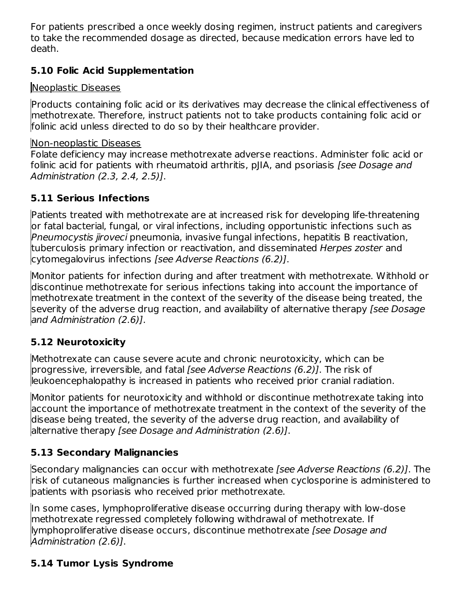For patients prescribed a once weekly dosing regimen, instruct patients and caregivers to take the recommended dosage as directed, because medication errors have led to death.

### **5.10 Folic Acid Supplementation**

### Neoplastic Diseases

Products containing folic acid or its derivatives may decrease the clinical effectiveness of methotrexate. Therefore, instruct patients not to take products containing folic acid or folinic acid unless directed to do so by their healthcare provider.

#### Non-neoplastic Diseases

Folate deficiency may increase methotrexate adverse reactions. Administer folic acid or folinic acid for patients with rheumatoid arthritis, pJIA, and psoriasis [see Dosage and Administration (2.3, 2.4, 2.5)].

## **5.11 Serious Infections**

Patients treated with methotrexate are at increased risk for developing life-threatening or fatal bacterial, fungal, or viral infections, including opportunistic infections such as Pneumocystis jiroveci pneumonia, invasive fungal infections, hepatitis B reactivation, tuberculosis primary infection or reactivation, and disseminated Herpes zoster and cytomegalovirus infections [see Adverse Reactions (6.2)].

Monitor patients for infection during and after treatment with methotrexate. Withhold or discontinue methotrexate for serious infections taking into account the importance of methotrexate treatment in the context of the severity of the disease being treated, the severity of the adverse drug reaction, and availability of alternative therapy *[see Dosage*] and Administration (2.6)].

### **5.12 Neurotoxicity**

Methotrexate can cause severe acute and chronic neurotoxicity, which can be progressive, irreversible, and fatal *[see Adverse Reactions (6.2)]*. The risk of leukoencephalopathy is increased in patients who received prior cranial radiation.

Monitor patients for neurotoxicity and withhold or discontinue methotrexate taking into account the importance of methotrexate treatment in the context of the severity of the disease being treated, the severity of the adverse drug reaction, and availability of alternative therapy [see Dosage and Administration (2.6)].

## **5.13 Secondary Malignancies**

Secondary malignancies can occur with methotrexate [see Adverse Reactions (6.2)]. The risk of cutaneous malignancies is further increased when cyclosporine is administered to patients with psoriasis who received prior methotrexate.

In some cases, lymphoproliferative disease occurring during therapy with low-dose methotrexate regressed completely following withdrawal of methotrexate. If lymphoproliferative disease occurs, discontinue methotrexate [see Dosage and Administration (2.6)].

# **5.14 Tumor Lysis Syndrome**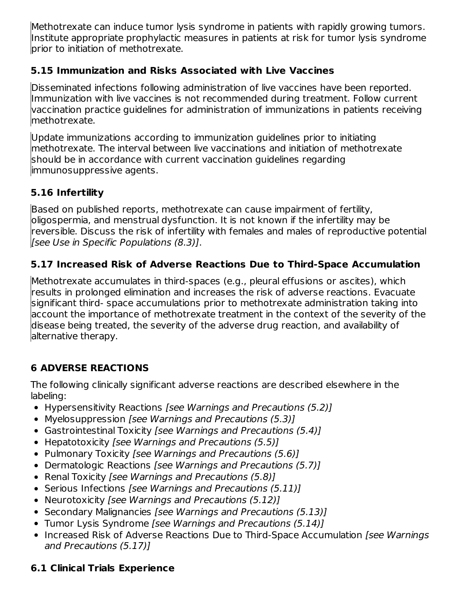Methotrexate can induce tumor lysis syndrome in patients with rapidly growing tumors. Institute appropriate prophylactic measures in patients at risk for tumor lysis syndrome prior to initiation of methotrexate.

## **5.15 Immunization and Risks Associated with Live Vaccines**

Disseminated infections following administration of live vaccines have been reported. Immunization with live vaccines is not recommended during treatment. Follow current vaccination practice guidelines for administration of immunizations in patients receiving methotrexate.

Update immunizations according to immunization guidelines prior to initiating methotrexate. The interval between live vaccinations and initiation of methotrexate should be in accordance with current vaccination guidelines regarding immunosuppressive agents.

# **5.16 Infertility**

Based on published reports, methotrexate can cause impairment of fertility, oligospermia, and menstrual dysfunction. It is not known if the infertility may be reversible. Discuss the risk of infertility with females and males of reproductive potential [see Use in Specific Populations (8.3)].

# **5.17 Increased Risk of Adverse Reactions Due to Third-Space Accumulation**

Methotrexate accumulates in third-spaces (e.g., pleural effusions or ascites), which results in prolonged elimination and increases the risk of adverse reactions. Evacuate significant third- space accumulations prior to methotrexate administration taking into account the importance of methotrexate treatment in the context of the severity of the disease being treated, the severity of the adverse drug reaction, and availability of alternative therapy.

## **6 ADVERSE REACTIONS**

The following clinically significant adverse reactions are described elsewhere in the labeling:

- Hypersensitivity Reactions [see Warnings and Precautions (5.2)]
- Myelosuppression [see Warnings and Precautions (5.3)]
- Gastrointestinal Toxicity [see Warnings and Precautions (5.4)]
- Hepatotoxicity [see Warnings and Precautions (5.5)]
- Pulmonary Toxicity [see Warnings and Precautions (5.6)]
- Dermatologic Reactions [see Warnings and Precautions (5.7)]
- Renal Toxicity [see Warnings and Precautions (5.8)]
- Serious Infections [see Warnings and Precautions (5.11)]
- Neurotoxicity [see Warnings and Precautions (5.12)]
- Secondary Malignancies [see Warnings and Precautions (5.13)]
- Tumor Lysis Syndrome [see Warnings and Precautions (5.14)]
- Increased Risk of Adverse Reactions Due to Third-Space Accumulation [see Warnings] and Precautions (5.17)]

# **6.1 Clinical Trials Experience**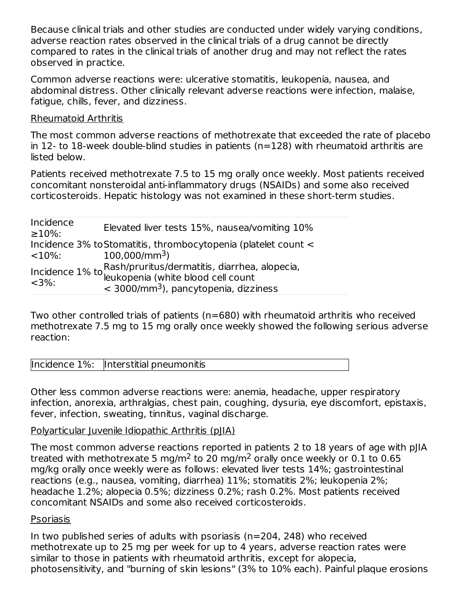Because clinical trials and other studies are conducted under widely varying conditions, adverse reaction rates observed in the clinical trials of a drug cannot be directly compared to rates in the clinical trials of another drug and may not reflect the rates observed in practice.

Common adverse reactions were: ulcerative stomatitis, leukopenia, nausea, and abdominal distress. Other clinically relevant adverse reactions were infection, malaise, fatigue, chills, fever, and dizziness.

#### Rheumatoid Arthritis

The most common adverse reactions of methotrexate that exceeded the rate of placebo in 12- to 18-week double-blind studies in patients (n=128) with rheumatoid arthritis are listed below.

Patients received methotrexate 7.5 to 15 mg orally once weekly. Most patients received concomitant nonsteroidal anti-inflammatory drugs (NSAIDs) and some also received corticosteroids. Hepatic histology was not examined in these short-term studies.

| Incidence<br>$\geq 10\%$ : | Elevated liver tests 15%, nausea/vomiting 10%                                    |
|----------------------------|----------------------------------------------------------------------------------|
|                            | Incidence 3% to Stomatitis, thrombocytopenia (platelet count <                   |
| $<$ 10%:                   | $100,000/mm^3$                                                                   |
|                            |                                                                                  |
| $<$ 3%:                    | Incidence $1\%$ to Rash/pruritus/dermatitis, diarrhea, alopecia,<br>$\leq 2\%$ . |
|                            | $<$ 3000/mm <sup>3</sup> ), pancytopenia, dizziness                              |

Two other controlled trials of patients (n=680) with rheumatoid arthritis who received methotrexate 7.5 mg to 15 mg orally once weekly showed the following serious adverse reaction:

|  | Incidence 1%: Interstitial pneumonitis |
|--|----------------------------------------|
|--|----------------------------------------|

Other less common adverse reactions were: anemia, headache, upper respiratory infection, anorexia, arthralgias, chest pain, coughing, dysuria, eye discomfort, epistaxis, fever, infection, sweating, tinnitus, vaginal discharge.

#### Polyarticular Juvenile Idiopathic Arthritis (pJIA)

The most common adverse reactions reported in patients 2 to 18 years of age with pJIA treated with methotrexate 5 mg/m<sup>2</sup> to 20 mg/m<sup>2</sup> orally once weekly or 0.1 to 0.65 mg/kg orally once weekly were as follows: elevated liver tests 14%; gastrointestinal reactions (e.g., nausea, vomiting, diarrhea) 11%; stomatitis 2%; leukopenia 2%; headache 1.2%; alopecia 0.5%; dizziness 0.2%; rash 0.2%. Most patients received concomitant NSAIDs and some also received corticosteroids.

#### Psoriasis

In two published series of adults with psoriasis (n=204, 248) who received methotrexate up to 25 mg per week for up to 4 years, adverse reaction rates were similar to those in patients with rheumatoid arthritis, except for alopecia, photosensitivity, and "burning of skin lesions" (3% to 10% each). Painful plaque erosions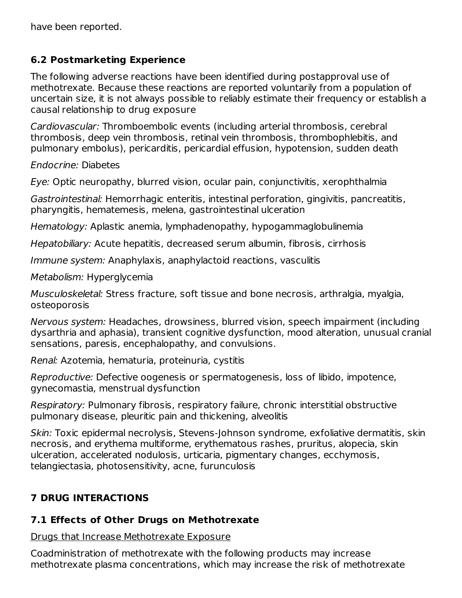have been reported.

#### **6.2 Postmarketing Experience**

The following adverse reactions have been identified during postapproval use of methotrexate. Because these reactions are reported voluntarily from a population of uncertain size, it is not always possible to reliably estimate their frequency or establish a causal relationship to drug exposure

Cardiovascular: Thromboembolic events (including arterial thrombosis, cerebral thrombosis, deep vein thrombosis, retinal vein thrombosis, thrombophlebitis, and pulmonary embolus), pericarditis, pericardial effusion, hypotension, sudden death

Endocrine: Diabetes

Eye: Optic neuropathy, blurred vision, ocular pain, conjunctivitis, xerophthalmia

Gastrointestinal: Hemorrhagic enteritis, intestinal perforation, gingivitis, pancreatitis, pharyngitis, hematemesis, melena, gastrointestinal ulceration

Hematology: Aplastic anemia, lymphadenopathy, hypogammaglobulinemia

Hepatobiliary: Acute hepatitis, decreased serum albumin, fibrosis, cirrhosis

Immune system: Anaphylaxis, anaphylactoid reactions, vasculitis

Metabolism: Hyperglycemia

Musculoskeletal: Stress fracture, soft tissue and bone necrosis, arthralgia, myalgia, osteoporosis

Nervous system: Headaches, drowsiness, blurred vision, speech impairment (including dysarthria and aphasia), transient cognitive dysfunction, mood alteration, unusual cranial sensations, paresis, encephalopathy, and convulsions.

Renal: Azotemia, hematuria, proteinuria, cystitis

Reproductive: Defective oogenesis or spermatogenesis, loss of libido, impotence, gynecomastia, menstrual dysfunction

Respiratory: Pulmonary fibrosis, respiratory failure, chronic interstitial obstructive pulmonary disease, pleuritic pain and thickening, alveolitis

Skin: Toxic epidermal necrolysis, Stevens-Johnson syndrome, exfoliative dermatitis, skin necrosis, and erythema multiforme, erythematous rashes, pruritus, alopecia, skin ulceration, accelerated nodulosis, urticaria, pigmentary changes, ecchymosis, telangiectasia, photosensitivity, acne, furunculosis

# **7 DRUG INTERACTIONS**

## **7.1 Effects of Other Drugs on Methotrexate**

Drugs that Increase Methotrexate Exposure

Coadministration of methotrexate with the following products may increase methotrexate plasma concentrations, which may increase the risk of methotrexate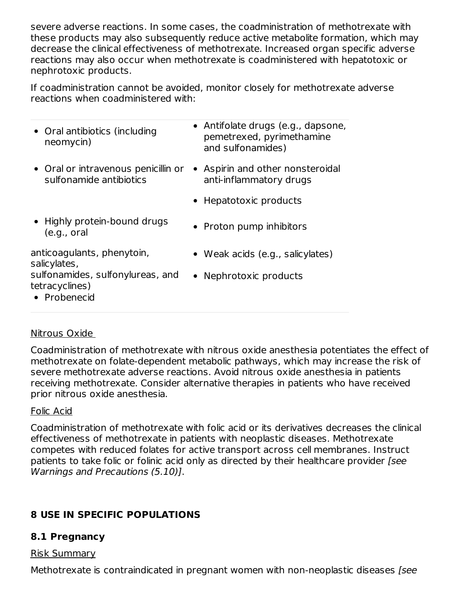severe adverse reactions. In some cases, the coadministration of methotrexate with these products may also subsequently reduce active metabolite formation, which may decrease the clinical effectiveness of methotrexate. Increased organ specific adverse reactions may also occur when methotrexate is coadministered with hepatotoxic or nephrotoxic products.

If coadministration cannot be avoided, monitor closely for methotrexate adverse reactions when coadministered with:

| • Oral antibiotics (including<br>neomycin)                         | • Antifolate drugs (e.g., dapsone,<br>pemetrexed, pyrimethamine<br>and sulfonamides) |
|--------------------------------------------------------------------|--------------------------------------------------------------------------------------|
| • Oral or intravenous penicillin or<br>sulfonamide antibiotics     | Aspirin and other nonsteroidal<br>anti-inflammatory drugs                            |
|                                                                    | • Hepatotoxic products                                                               |
| • Highly protein-bound drugs<br>(e.g., oral)                       | • Proton pump inhibitors                                                             |
| anticoagulants, phenytoin,<br>salicylates,                         | • Weak acids (e.g., salicylates)                                                     |
| sulfonamides, sulfonylureas, and<br>tetracyclines)<br>• Probenecid | • Nephrotoxic products                                                               |
|                                                                    |                                                                                      |

### Nitrous Oxide

Coadministration of methotrexate with nitrous oxide anesthesia potentiates the effect of methotrexate on folate-dependent metabolic pathways, which may increase the risk of severe methotrexate adverse reactions. Avoid nitrous oxide anesthesia in patients receiving methotrexate. Consider alternative therapies in patients who have received prior nitrous oxide anesthesia.

### Folic Acid

Coadministration of methotrexate with folic acid or its derivatives decreases the clinical effectiveness of methotrexate in patients with neoplastic diseases. Methotrexate competes with reduced folates for active transport across cell membranes. Instruct patients to take folic or folinic acid only as directed by their healthcare provider [see Warnings and Precautions (5.10)].

# **8 USE IN SPECIFIC POPULATIONS**

## **8.1 Pregnancy**

### Risk Summary

Methotrexate is contraindicated in pregnant women with non-neoplastic diseases [see]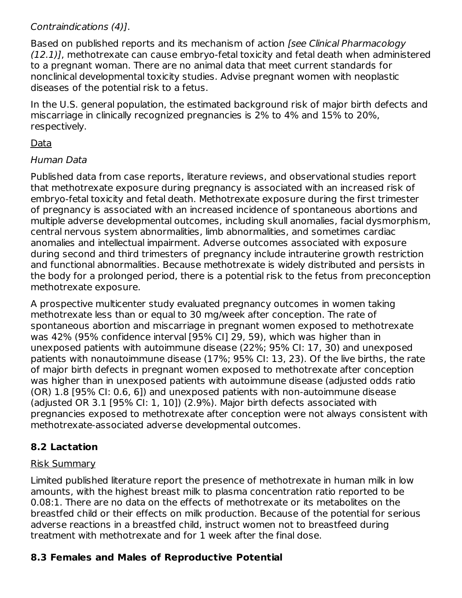### Contraindications (4)].

Based on published reports and its mechanism of action [see Clinical Pharmacology (12.1)], methotrexate can cause embryo-fetal toxicity and fetal death when administered to a pregnant woman. There are no animal data that meet current standards for nonclinical developmental toxicity studies. Advise pregnant women with neoplastic diseases of the potential risk to a fetus.

In the U.S. general population, the estimated background risk of major birth defects and miscarriage in clinically recognized pregnancies is 2% to 4% and 15% to 20%, respectively.

### Data

### Human Data

Published data from case reports, literature reviews, and observational studies report that methotrexate exposure during pregnancy is associated with an increased risk of embryo-fetal toxicity and fetal death. Methotrexate exposure during the first trimester of pregnancy is associated with an increased incidence of spontaneous abortions and multiple adverse developmental outcomes, including skull anomalies, facial dysmorphism, central nervous system abnormalities, limb abnormalities, and sometimes cardiac anomalies and intellectual impairment. Adverse outcomes associated with exposure during second and third trimesters of pregnancy include intrauterine growth restriction and functional abnormalities. Because methotrexate is widely distributed and persists in the body for a prolonged period, there is a potential risk to the fetus from preconception methotrexate exposure.

A prospective multicenter study evaluated pregnancy outcomes in women taking methotrexate less than or equal to 30 mg/week after conception. The rate of spontaneous abortion and miscarriage in pregnant women exposed to methotrexate was 42% (95% confidence interval [95% CI] 29, 59), which was higher than in unexposed patients with autoimmune disease (22%; 95% CI: 17, 30) and unexposed patients with nonautoimmune disease (17%; 95% CI: 13, 23). Of the live births, the rate of major birth defects in pregnant women exposed to methotrexate after conception was higher than in unexposed patients with autoimmune disease (adjusted odds ratio (OR) 1.8 [95% CI: 0.6, 6]) and unexposed patients with non-autoimmune disease (adjusted OR 3.1 [95% CI: 1, 10]) (2.9%). Major birth defects associated with pregnancies exposed to methotrexate after conception were not always consistent with methotrexate-associated adverse developmental outcomes.

# **8.2 Lactation**

### Risk Summary

Limited published literature report the presence of methotrexate in human milk in low amounts, with the highest breast milk to plasma concentration ratio reported to be 0.08:1. There are no data on the effects of methotrexate or its metabolites on the breastfed child or their effects on milk production. Because of the potential for serious adverse reactions in a breastfed child, instruct women not to breastfeed during treatment with methotrexate and for 1 week after the final dose.

# **8.3 Females and Males of Reproductive Potential**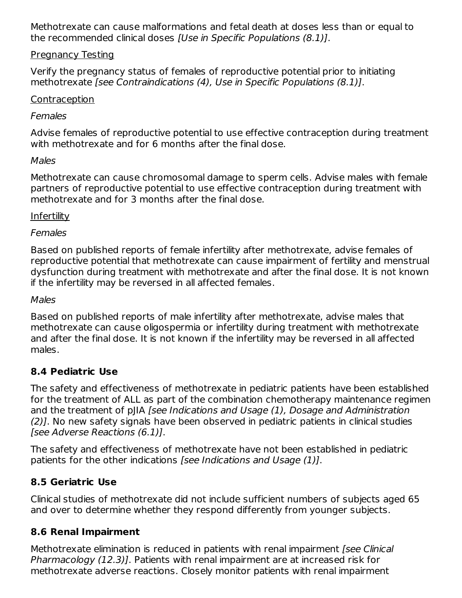Methotrexate can cause malformations and fetal death at doses less than or equal to the recommended clinical doses [Use in Specific Populations (8.1)].

#### Pregnancy Testing

Verify the pregnancy status of females of reproductive potential prior to initiating methotrexate [see Contraindications (4), Use in Specific Populations (8.1)].

#### **Contraception**

#### Females

Advise females of reproductive potential to use effective contraception during treatment with methotrexate and for 6 months after the final dose.

#### Males

Methotrexate can cause chromosomal damage to sperm cells. Advise males with female partners of reproductive potential to use effective contraception during treatment with methotrexate and for 3 months after the final dose.

#### Infertility

#### **Females**

Based on published reports of female infertility after methotrexate, advise females of reproductive potential that methotrexate can cause impairment of fertility and menstrual dysfunction during treatment with methotrexate and after the final dose. It is not known if the infertility may be reversed in all affected females.

#### Males

Based on published reports of male infertility after methotrexate, advise males that methotrexate can cause oligospermia or infertility during treatment with methotrexate and after the final dose. It is not known if the infertility may be reversed in all affected males.

#### **8.4 Pediatric Use**

The safety and effectiveness of methotrexate in pediatric patients have been established for the treatment of ALL as part of the combination chemotherapy maintenance regimen and the treatment of pJIA [see Indications and Usage (1), Dosage and Administration (2)]. No new safety signals have been observed in pediatric patients in clinical studies [see Adverse Reactions (6.1)].

The safety and effectiveness of methotrexate have not been established in pediatric patients for the other indications [see Indications and Usage (1)].

### **8.5 Geriatric Use**

Clinical studies of methotrexate did not include sufficient numbers of subjects aged 65 and over to determine whether they respond differently from younger subjects.

#### **8.6 Renal Impairment**

Methotrexate elimination is reduced in patients with renal impairment (see Clinical Pharmacology (12.3)]. Patients with renal impairment are at increased risk for methotrexate adverse reactions. Closely monitor patients with renal impairment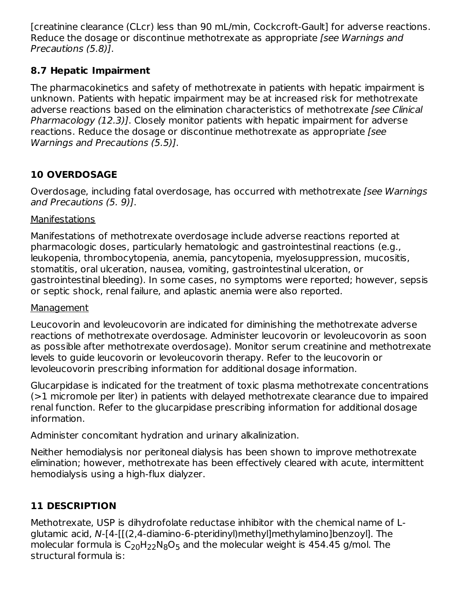[creatinine clearance (CLcr) less than 90 mL/min, Cockcroft-Gault] for adverse reactions. Reduce the dosage or discontinue methotrexate as appropriate *[see Warnings and* Precautions (5.8)].

### **8.7 Hepatic Impairment**

The pharmacokinetics and safety of methotrexate in patients with hepatic impairment is unknown. Patients with hepatic impairment may be at increased risk for methotrexate adverse reactions based on the elimination characteristics of methotrexate [see Clinical Pharmacology (12.3)]. Closely monitor patients with hepatic impairment for adverse reactions. Reduce the dosage or discontinue methotrexate as appropriate [see Warnings and Precautions (5.5)].

# **10 OVERDOSAGE**

Overdosage, including fatal overdosage, has occurred with methotrexate [see Warnings and Precautions (5. 9)].

### **Manifestations**

Manifestations of methotrexate overdosage include adverse reactions reported at pharmacologic doses, particularly hematologic and gastrointestinal reactions (e.g., leukopenia, thrombocytopenia, anemia, pancytopenia, myelosuppression, mucositis, stomatitis, oral ulceration, nausea, vomiting, gastrointestinal ulceration, or gastrointestinal bleeding). In some cases, no symptoms were reported; however, sepsis or septic shock, renal failure, and aplastic anemia were also reported.

#### Management

Leucovorin and levoleucovorin are indicated for diminishing the methotrexate adverse reactions of methotrexate overdosage. Administer leucovorin or levoleucovorin as soon as possible after methotrexate overdosage). Monitor serum creatinine and methotrexate levels to guide leucovorin or levoleucovorin therapy. Refer to the leucovorin or levoleucovorin prescribing information for additional dosage information.

Glucarpidase is indicated for the treatment of toxic plasma methotrexate concentrations (>1 micromole per liter) in patients with delayed methotrexate clearance due to impaired renal function. Refer to the glucarpidase prescribing information for additional dosage information.

Administer concomitant hydration and urinary alkalinization.

Neither hemodialysis nor peritoneal dialysis has been shown to improve methotrexate elimination; however, methotrexate has been effectively cleared with acute, intermittent hemodialysis using a high-flux dialyzer.

# **11 DESCRIPTION**

Methotrexate, USP is dihydrofolate reductase inhibitor with the chemical name of Lglutamic acid, N-[4-[[(2,4-diamino-6-pteridinyl)methyl]methylamino]benzoyl]. The molecular formula is  $\mathsf{C}_{20}\mathsf{H}_{22}\mathsf{N}_{8}\mathsf{O}_{5}$  and the molecular weight is 454.45 g/mol. The structural formula is: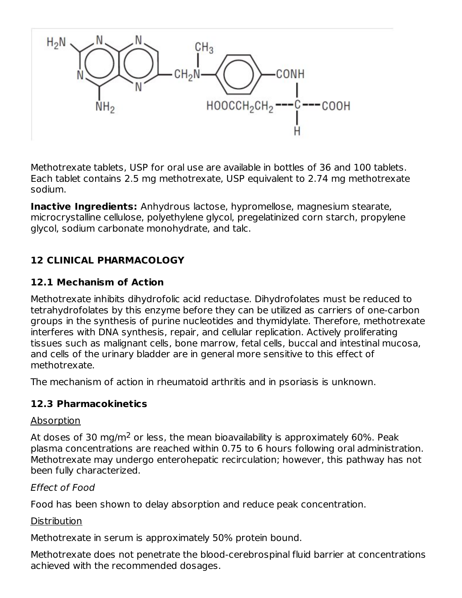

Methotrexate tablets, USP for oral use are available in bottles of 36 and 100 tablets. Each tablet contains 2.5 mg methotrexate, USP equivalent to 2.74 mg methotrexate sodium.

**Inactive Ingredients:** Anhydrous lactose, hypromellose, magnesium stearate, microcrystalline cellulose, polyethylene glycol, pregelatinized corn starch, propylene glycol, sodium carbonate monohydrate, and talc.

### **12 CLINICAL PHARMACOLOGY**

#### **12.1 Mechanism of Action**

Methotrexate inhibits dihydrofolic acid reductase. Dihydrofolates must be reduced to tetrahydrofolates by this enzyme before they can be utilized as carriers of one-carbon groups in the synthesis of purine nucleotides and thymidylate. Therefore, methotrexate interferes with DNA synthesis, repair, and cellular replication. Actively proliferating tissues such as malignant cells, bone marrow, fetal cells, buccal and intestinal mucosa, and cells of the urinary bladder are in general more sensitive to this effect of methotrexate.

The mechanism of action in rheumatoid arthritis and in psoriasis is unknown.

#### **12.3 Pharmacokinetics**

#### Absorption

At doses of 30 mg/m<sup>2</sup> or less, the mean bioavailability is approximately 60%. Peak plasma concentrations are reached within 0.75 to 6 hours following oral administration. Methotrexate may undergo enterohepatic recirculation; however, this pathway has not been fully characterized.

#### Effect of Food

Food has been shown to delay absorption and reduce peak concentration.

#### Distribution

Methotrexate in serum is approximately 50% protein bound.

Methotrexate does not penetrate the blood-cerebrospinal fluid barrier at concentrations achieved with the recommended dosages.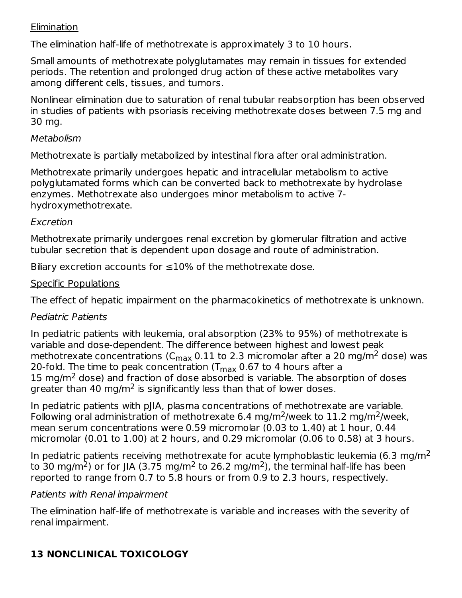#### **Elimination**

The elimination half-life of methotrexate is approximately 3 to 10 hours.

Small amounts of methotrexate polyglutamates may remain in tissues for extended periods. The retention and prolonged drug action of these active metabolites vary among different cells, tissues, and tumors.

Nonlinear elimination due to saturation of renal tubular reabsorption has been observed in studies of patients with psoriasis receiving methotrexate doses between 7.5 mg and 30 mg.

#### Metabolism

Methotrexate is partially metabolized by intestinal flora after oral administration.

Methotrexate primarily undergoes hepatic and intracellular metabolism to active polyglutamated forms which can be converted back to methotrexate by hydrolase enzymes. Methotrexate also undergoes minor metabolism to active 7 hydroxymethotrexate.

#### Excretion

Methotrexate primarily undergoes renal excretion by glomerular filtration and active tubular secretion that is dependent upon dosage and route of administration.

Biliary excretion accounts for  $\leq 10\%$  of the methotrexate dose.

### Specific Populations

The effect of hepatic impairment on the pharmacokinetics of methotrexate is unknown.

### Pediatric Patients

In pediatric patients with leukemia, oral absorption (23% to 95%) of methotrexate is variable and dose-dependent. The difference between highest and lowest peak methotrexate concentrations (C $_{\rm max}$  0.11 to 2.3 micromolar after a 20 mg/m $^2$  dose) was 20-fold. The time to peak concentration (T $_{\sf max}$  0.67 to 4 hours after a 15 mg/ $m<sup>2</sup>$  dose) and fraction of dose absorbed is variable. The absorption of doses greater than 40 mg/m<sup>2</sup> is significantly less than that of lower doses.

In pediatric patients with pJIA, plasma concentrations of methotrexate are variable. Following oral administration of methotrexate 6.4 mg/m<sup>2</sup>/week to 11.2 mg/m<sup>2</sup>/week, mean serum concentrations were 0.59 micromolar (0.03 to 1.40) at 1 hour, 0.44 micromolar (0.01 to 1.00) at 2 hours, and 0.29 micromolar (0.06 to 0.58) at 3 hours.

In pediatric patients receiving methotrexate for acute lymphoblastic leukemia (6.3 mg/m<sup>2</sup> to 30 mg/m<sup>2</sup>) or for JIA (3.75 mg/m<sup>2</sup> to 26.2 mg/m<sup>2</sup>), the terminal half-life has been reported to range from 0.7 to 5.8 hours or from 0.9 to 2.3 hours, respectively.

### Patients with Renal impairment

The elimination half-life of methotrexate is variable and increases with the severity of renal impairment.

# **13 NONCLINICAL TOXICOLOGY**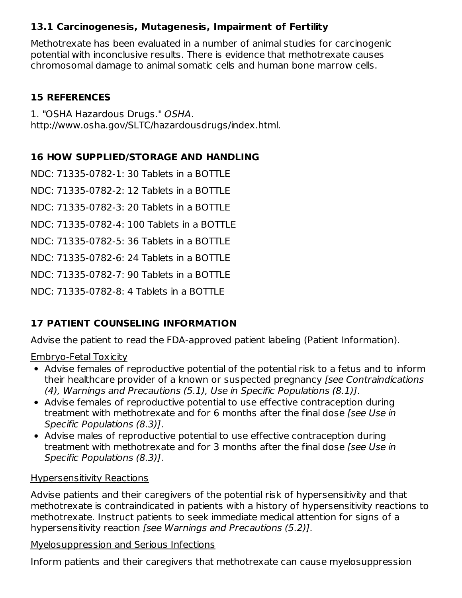### **13.1 Carcinogenesis, Mutagenesis, Impairment of Fertility**

Methotrexate has been evaluated in a number of animal studies for carcinogenic potential with inconclusive results. There is evidence that methotrexate causes chromosomal damage to animal somatic cells and human bone marrow cells.

#### **15 REFERENCES**

1. "OSHA Hazardous Drugs." OSHA. http://www.osha.gov/SLTC/hazardousdrugs/index.html.

## **16 HOW SUPPLIED/STORAGE AND HANDLING**

NDC: 71335-0782-1: 30 Tablets in a BOTTLE

NDC: 71335-0782-2: 12 Tablets in a BOTTLE

NDC: 71335-0782-3: 20 Tablets in a BOTTLE

NDC: 71335-0782-4: 100 Tablets in a BOTTLE

NDC: 71335-0782-5: 36 Tablets in a BOTTLE

NDC: 71335-0782-6: 24 Tablets in a BOTTLE

NDC: 71335-0782-7: 90 Tablets in a BOTTLE

NDC: 71335-0782-8: 4 Tablets in a BOTTLE

# **17 PATIENT COUNSELING INFORMATION**

Advise the patient to read the FDA-approved patient labeling (Patient Information).

### Embryo-Fetal Toxicity

- Advise females of reproductive potential of the potential risk to a fetus and to inform their healthcare provider of a known or suspected pregnancy [see Contraindications (4), Warnings and Precautions (5.1), Use in Specific Populations (8.1)].
- Advise females of reproductive potential to use effective contraception during treatment with methotrexate and for 6 months after the final dose [see Use in Specific Populations (8.3)].
- Advise males of reproductive potential to use effective contraception during treatment with methotrexate and for 3 months after the final dose *[see Use in*] Specific Populations (8.3)].

### Hypersensitivity Reactions

Advise patients and their caregivers of the potential risk of hypersensitivity and that methotrexate is contraindicated in patients with a history of hypersensitivity reactions to methotrexate. Instruct patients to seek immediate medical attention for signs of a hypersensitivity reaction [see Warnings and Precautions (5.2)].

#### Myelosuppression and Serious Infections

Inform patients and their caregivers that methotrexate can cause myelosuppression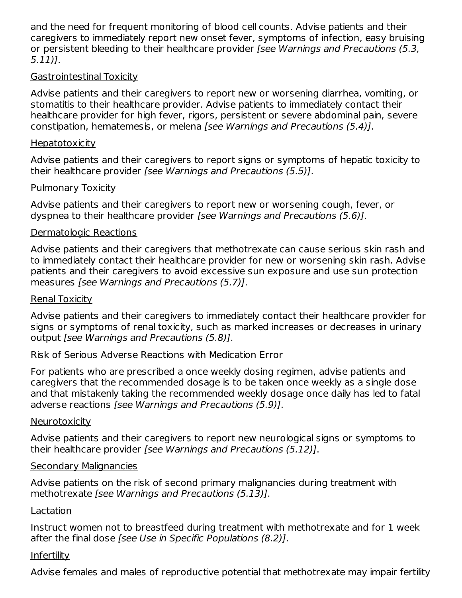and the need for frequent monitoring of blood cell counts. Advise patients and their caregivers to immediately report new onset fever, symptoms of infection, easy bruising or persistent bleeding to their healthcare provider *[see Warnings and Precautions (5.3,* 5.11)].

#### Gastrointestinal Toxicity

Advise patients and their caregivers to report new or worsening diarrhea, vomiting, or stomatitis to their healthcare provider. Advise patients to immediately contact their healthcare provider for high fever, rigors, persistent or severe abdominal pain, severe constipation, hematemesis, or melena [see Warnings and Precautions (5.4)].

#### **Hepatotoxicity**

Advise patients and their caregivers to report signs or symptoms of hepatic toxicity to their healthcare provider [see Warnings and Precautions (5.5)].

#### Pulmonary Toxicity

Advise patients and their caregivers to report new or worsening cough, fever, or dyspnea to their healthcare provider [see Warnings and Precautions (5.6)].

#### Dermatologic Reactions

Advise patients and their caregivers that methotrexate can cause serious skin rash and to immediately contact their healthcare provider for new or worsening skin rash. Advise patients and their caregivers to avoid excessive sun exposure and use sun protection measures [see Warnings and Precautions (5.7)].

#### Renal Toxicity

Advise patients and their caregivers to immediately contact their healthcare provider for signs or symptoms of renal toxicity, such as marked increases or decreases in urinary output [see Warnings and Precautions (5.8)].

#### Risk of Serious Adverse Reactions with Medication Error

For patients who are prescribed a once weekly dosing regimen, advise patients and caregivers that the recommended dosage is to be taken once weekly as a single dose and that mistakenly taking the recommended weekly dosage once daily has led to fatal adverse reactions [see Warnings and Precautions (5.9)].

#### Neurotoxicity

Advise patients and their caregivers to report new neurological signs or symptoms to their healthcare provider [see Warnings and Precautions (5.12)].

#### Secondary Malignancies

Advise patients on the risk of second primary malignancies during treatment with methotrexate [see Warnings and Precautions (5.13)].

#### **Lactation**

Instruct women not to breastfeed during treatment with methotrexate and for 1 week after the final dose [see Use in Specific Populations (8.2)].

#### **Infertility**

Advise females and males of reproductive potential that methotrexate may impair fertility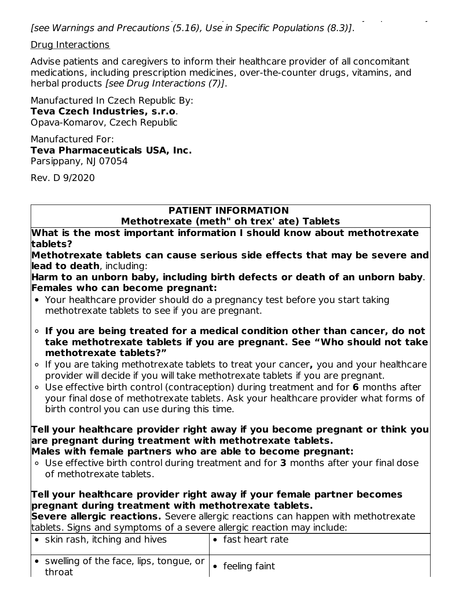Advise females and males of reproductive potential that methotrexate may impair fertility [see Warnings and Precautions (5.16), Use in Specific Populations (8.3)].

Drug Interactions

Advise patients and caregivers to inform their healthcare provider of all concomitant medications, including prescription medicines, over-the-counter drugs, vitamins, and herbal products [see Drug Interactions (7)].

Manufactured In Czech Republic By: **Teva Czech Industries, s.r.o**. Opava-Komarov, Czech Republic

Manufactured For: **Teva Pharmaceuticals USA, Inc.** Parsippany, NJ 07054

Rev. D 9/2020

# **PATIENT INFORMATION**

**Methotrexate (meth" oh trex' ate) Tablets**

**What is the most important information I should know about methotrexate tablets?**

**Methotrexate tablets can cause serious side effects that may be severe and lead to death**, including:

**Harm to an unborn baby, including birth defects or death of an unborn baby**. **Females who can become pregnant:**

- Your healthcare provider should do a pregnancy test before you start taking methotrexate tablets to see if you are pregnant.
- **If you are being treated for a medical condition other than cancer, do not take methotrexate tablets if you are pregnant. See "Who should not take methotrexate tablets?"**
- If you are taking methotrexate tablets to treat your cancer**,** you and your healthcare provider will decide if you will take methotrexate tablets if you are pregnant.
- Use effective birth control (contraception) during treatment and for **6** months after your final dose of methotrexate tablets. Ask your healthcare provider what forms of birth control you can use during this time.

**Tell your healthcare provider right away if you become pregnant or think you are pregnant during treatment with methotrexate tablets. Males with female partners who are able to become pregnant:**

Use effective birth control during treatment and for **3** months after your final dose of methotrexate tablets.

**Tell your healthcare provider right away if your female partner becomes pregnant during treatment with methotrexate tablets.**

**Severe allergic reactions.** Severe allergic reactions can happen with methotrexate tablets. Signs and symptoms of a severe allergic reaction may include:

| $\bullet$ skin rash, itching and hives                     | $\bullet$ fast heart rate |
|------------------------------------------------------------|---------------------------|
| • swelling of the face, lips, tongue, or $\vert$<br>throat | $\bullet$ feeling faint   |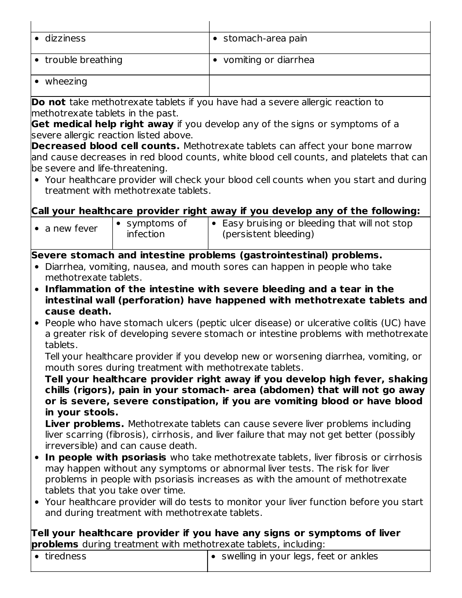| • dizziness                                                                                     |                                                                                                                                | • stomach-area pain                                                                      |  |  |
|-------------------------------------------------------------------------------------------------|--------------------------------------------------------------------------------------------------------------------------------|------------------------------------------------------------------------------------------|--|--|
|                                                                                                 |                                                                                                                                |                                                                                          |  |  |
| • trouble breathing                                                                             |                                                                                                                                | • vomiting or diarrhea                                                                   |  |  |
| $\bullet$ wheezing                                                                              |                                                                                                                                |                                                                                          |  |  |
|                                                                                                 |                                                                                                                                | Do not take methotrexate tablets if you have had a severe allergic reaction to           |  |  |
| methotrexate tablets in the past.                                                               |                                                                                                                                |                                                                                          |  |  |
|                                                                                                 |                                                                                                                                | Get medical help right away if you develop any of the signs or symptoms of a             |  |  |
|                                                                                                 | severe allergic reaction listed above.                                                                                         |                                                                                          |  |  |
|                                                                                                 |                                                                                                                                | <b>Decreased blood cell counts.</b> Methotrexate tablets can affect your bone marrow     |  |  |
| be severe and life-threatening.                                                                 |                                                                                                                                | and cause decreases in red blood counts, white blood cell counts, and platelets that can |  |  |
|                                                                                                 |                                                                                                                                |                                                                                          |  |  |
|                                                                                                 | • Your healthcare provider will check your blood cell counts when you start and during<br>treatment with methotrexate tablets. |                                                                                          |  |  |
|                                                                                                 |                                                                                                                                |                                                                                          |  |  |
|                                                                                                 |                                                                                                                                | Call your healthcare provider right away if you develop any of the following:            |  |  |
| $\bullet$ a new fever                                                                           | • symptoms of<br>infection                                                                                                     | • Easy bruising or bleeding that will not stop<br>(persistent bleeding)                  |  |  |
|                                                                                                 |                                                                                                                                | Severe stomach and intestine problems (gastrointestinal) problems.                       |  |  |
| methotrexate tablets.                                                                           |                                                                                                                                | • Diarrhea, vomiting, nausea, and mouth sores can happen in people who take              |  |  |
| • Inflammation of the intestine with severe bleeding and a tear in the                          |                                                                                                                                |                                                                                          |  |  |
| intestinal wall (perforation) have happened with methotrexate tablets and                       |                                                                                                                                |                                                                                          |  |  |
|                                                                                                 | cause death.                                                                                                                   |                                                                                          |  |  |
|                                                                                                 |                                                                                                                                | People who have stomach ulcers (peptic ulcer disease) or ulcerative colitis (UC) have    |  |  |
| a greater risk of developing severe stomach or intestine problems with methotrexate<br>tablets. |                                                                                                                                |                                                                                          |  |  |
|                                                                                                 |                                                                                                                                | Tell your healthcare provider if you develop new or worsening diarrhea, vomiting, or     |  |  |

mouth sores during treatment with methotrexate tablets.

**Tell your healthcare provider right away if you develop high fever, shaking chills (rigors), pain in your stomach- area (abdomen) that will not go away or is severe, severe constipation, if you are vomiting blood or have blood in your stools.**

**Liver problems.** Methotrexate tablets can cause severe liver problems including liver scarring (fibrosis), cirrhosis, and liver failure that may not get better (possibly irreversible) and can cause death.

- **In people with psoriasis** who take methotrexate tablets, liver fibrosis or cirrhosis may happen without any symptoms or abnormal liver tests. The risk for liver problems in people with psoriasis increases as with the amount of methotrexate tablets that you take over time.
- Your healthcare provider will do tests to monitor your liver function before you start and during treatment with methotrexate tablets.

**Tell your healthcare provider if you have any signs or symptoms of liver problems** during treatment with methotrexate tablets, including:

| $\bullet$ tiredness | $\bullet$ swelling in your legs, feet or ankles |
|---------------------|-------------------------------------------------|
|                     |                                                 |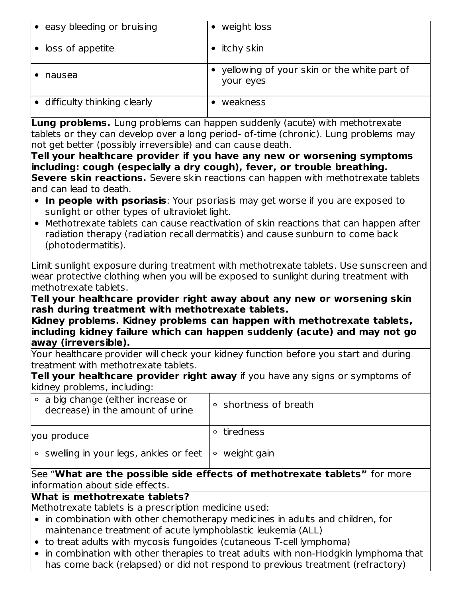| • easy bleeding or bruising   | • weight loss                                              |
|-------------------------------|------------------------------------------------------------|
| • loss of appetite            | $\bullet$ itchy skin                                       |
| nausea                        | • yellowing of your skin or the white part of<br>your eyes |
| • difficulty thinking clearly | weakness                                                   |

**Lung problems.** Lung problems can happen suddenly (acute) with methotrexate tablets or they can develop over a long period- of-time (chronic). Lung problems may not get better (possibly irreversible) and can cause death.

**Tell your healthcare provider if you have any new or worsening symptoms including: cough (especially a dry cough), fever, or trouble breathing. Severe skin reactions.** Severe skin reactions can happen with methotrexate tablets land can lead to death.

- **In people with psoriasis**: Your psoriasis may get worse if you are exposed to sunlight or other types of ultraviolet light.
- Methotrexate tablets can cause reactivation of skin reactions that can happen after radiation therapy (radiation recall dermatitis) and cause sunburn to come back (photodermatitis).

Limit sunlight exposure during treatment with methotrexate tablets. Use sunscreen and wear protective clothing when you will be exposed to sunlight during treatment with methotrexate tablets.

**Tell your healthcare provider right away about any new or worsening skin rash during treatment with methotrexate tablets.**

**Kidney problems. Kidney problems can happen with methotrexate tablets, including kidney failure which can happen suddenly (acute) and may not go away (irreversible).**

Your healthcare provider will check your kidney function before you start and during treatment with methotrexate tablets.

**Tell your healthcare provider right away** if you have any signs or symptoms of kidney problems, including:

| $\circ$ a big change (either increase or<br>decrease) in the amount of urine | ○ shortness of breath |
|------------------------------------------------------------------------------|-----------------------|
| you produce                                                                  | tiredness             |
| $\circ$ swelling in your legs, ankles or feet $\circ$ weight gain            |                       |

See "**What are the possible side effects of methotrexate tablets"** for more information about side effects.

### **What is methotrexate tablets?**

Methotrexate tablets is a prescription medicine used:

- in combination with other chemotherapy medicines in adults and children, for maintenance treatment of acute lymphoblastic leukemia (ALL)
- to treat adults with mycosis fungoides (cutaneous T-cell lymphoma)
- in combination with other therapies to treat adults with non-Hodgkin lymphoma that has come back (relapsed) or did not respond to previous treatment (refractory)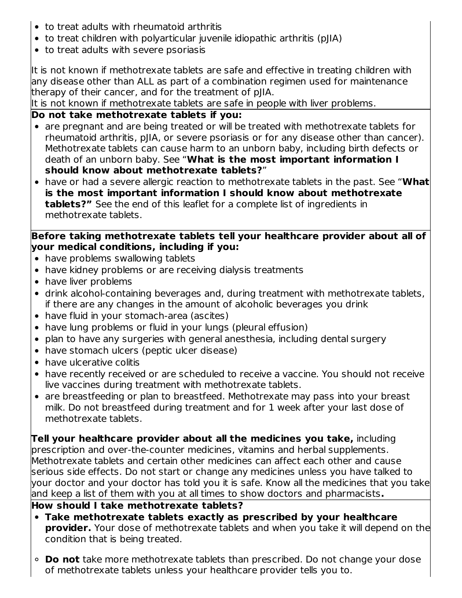- to treat adults with rheumatoid arthritis
- to treat children with polyarticular juvenile idiopathic arthritis (pJIA)
- to treat adults with severe psoriasis

It is not known if methotrexate tablets are safe and effective in treating children with any disease other than ALL as part of a combination regimen used for maintenance therapy of their cancer, and for the treatment of pJIA.

It is not known if methotrexate tablets are safe in people with liver problems.

# **Do not take methotrexate tablets if you:**

- are pregnant and are being treated or will be treated with methotrexate tablets for rheumatoid arthritis, pJIA, or severe psoriasis or for any disease other than cancer). Methotrexate tablets can cause harm to an unborn baby, including birth defects or death of an unborn baby. See "**What is the most important information I should know about methotrexate tablets?**"
- have or had a severe allergic reaction to methotrexate tablets in the past. See "**What is the most important information I should know about methotrexate tablets?"** See the end of this leaflet for a complete list of ingredients in methotrexate tablets.

### **Before taking methotrexate tablets tell your healthcare provider about all of your medical conditions, including if you:**

- have problems swallowing tablets
- have kidney problems or are receiving dialysis treatments
- have liver problems
- drink alcohol-containing beverages and, during treatment with methotrexate tablets, if there are any changes in the amount of alcoholic beverages you drink
- have fluid in your stomach-area (ascites)
- have lung problems or fluid in your lungs (pleural effusion)
- plan to have any surgeries with general anesthesia, including dental surgery
- have stomach ulcers (peptic ulcer disease)
- have ulcerative colitis
- have recently received or are scheduled to receive a vaccine. You should not receive live vaccines during treatment with methotrexate tablets.
- are breastfeeding or plan to breastfeed. Methotrexate may pass into your breast milk. Do not breastfeed during treatment and for 1 week after your last dose of methotrexate tablets.

## **Tell your healthcare provider about all the medicines you take,** including

prescription and over-the-counter medicines, vitamins and herbal supplements. Methotrexate tablets and certain other medicines can affect each other and cause serious side effects. Do not start or change any medicines unless you have talked to your doctor and your doctor has told you it is safe. Know all the medicines that you take and keep a list of them with you at all times to show doctors and pharmacists**.**

### **How should I take methotrexate tablets?**

- **Take methotrexate tablets exactly as prescribed by your healthcare provider.** Your dose of methotrexate tablets and when you take it will depend on the condition that is being treated.
- **Do not** take more methotrexate tablets than prescribed. Do not change your dose of methotrexate tablets unless your healthcare provider tells you to.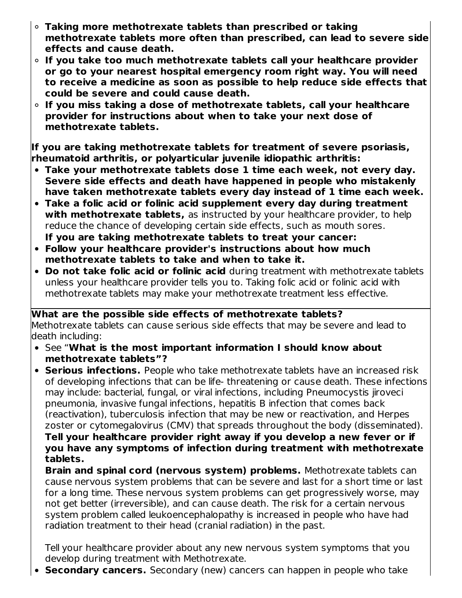- **Taking more methotrexate tablets than prescribed or taking methotrexate tablets more often than prescribed, can lead to severe side effects and cause death.**
- **If you take too much methotrexate tablets call your healthcare provider or go to your nearest hospital emergency room right way. You will need to receive a medicine as soon as possible to help reduce side effects that could be severe and could cause death.**
- **If you miss taking a dose of methotrexate tablets, call your healthcare provider for instructions about when to take your next dose of methotrexate tablets.**

**If you are taking methotrexate tablets for treatment of severe psoriasis, rheumatoid arthritis, or polyarticular juvenile idiopathic arthritis:**

- **Take your methotrexate tablets dose 1 time each week, not every day. Severe side effects and death have happened in people who mistakenly have taken methotrexate tablets every day instead of 1 time each week.**
- **Take a folic acid or folinic acid supplement every day during treatment with methotrexate tablets,** as instructed by your healthcare provider, to help reduce the chance of developing certain side effects, such as mouth sores.
- **If you are taking methotrexate tablets to treat your cancer: Follow your healthcare provider's instructions about how much**
- **methotrexate tablets to take and when to take it.**
- **Do not take folic acid or folinic acid** during treatment with methotrexate tablets unless your healthcare provider tells you to. Taking folic acid or folinic acid with methotrexate tablets may make your methotrexate treatment less effective.

**What are the possible side effects of methotrexate tablets?** Methotrexate tablets can cause serious side effects that may be severe and lead to death including:

- See "**What is the most important information I should know about methotrexate tablets"?**
- **Serious infections.** People who take methotrexate tablets have an increased risk of developing infections that can be life- threatening or cause death. These infections may include: bacterial, fungal, or viral infections, including Pneumocystis jiroveci pneumonia, invasive fungal infections, hepatitis B infection that comes back (reactivation), tuberculosis infection that may be new or reactivation, and Herpes zoster or cytomegalovirus (CMV) that spreads throughout the body (disseminated). **Tell your healthcare provider right away if you develop a new fever or if you have any symptoms of infection during treatment with methotrexate tablets.**

**Brain and spinal cord (nervous system) problems.** Methotrexate tablets can cause nervous system problems that can be severe and last for a short time or last for a long time. These nervous system problems can get progressively worse, may not get better (irreversible), and can cause death. The risk for a certain nervous system problem called leukoencephalopathy is increased in people who have had radiation treatment to their head (cranial radiation) in the past.

Tell your healthcare provider about any new nervous system symptoms that you develop during treatment with Methotrexate.

**Secondary cancers.** Secondary (new) cancers can happen in people who take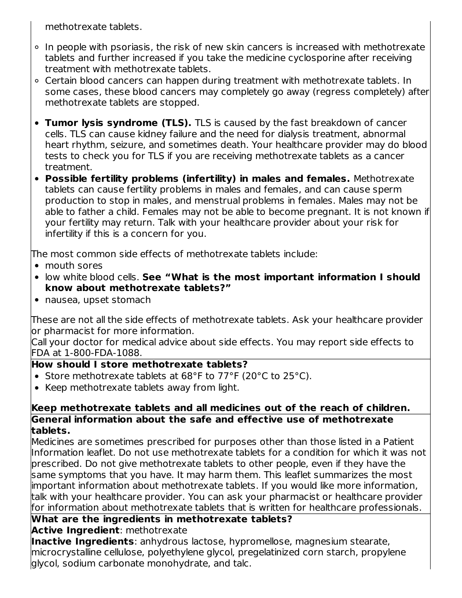methotrexate tablets.

- In people with psoriasis, the risk of new skin cancers is increased with methotrexate tablets and further increased if you take the medicine cyclosporine after receiving treatment with methotrexate tablets.
- Certain blood cancers can happen during treatment with methotrexate tablets. In some cases, these blood cancers may completely go away (regress completely) after methotrexate tablets are stopped.
- **Tumor lysis syndrome (TLS).** TLS is caused by the fast breakdown of cancer cells. TLS can cause kidney failure and the need for dialysis treatment, abnormal heart rhythm, seizure, and sometimes death. Your healthcare provider may do blood tests to check you for TLS if you are receiving methotrexate tablets as a cancer treatment.
- **Possible fertility problems (infertility) in males and females.** Methotrexate tablets can cause fertility problems in males and females, and can cause sperm production to stop in males, and menstrual problems in females. Males may not be able to father a child. Females may not be able to become pregnant. It is not known if your fertility may return. Talk with your healthcare provider about your risk for infertility if this is a concern for you.

The most common side effects of methotrexate tablets include:

- mouth sores
- low white blood cells. **See "What is the most important information I should know about methotrexate tablets?"**
- nausea, upset stomach

These are not all the side effects of methotrexate tablets. Ask your healthcare provider lor pharmacist for more information.

Call your doctor for medical advice about side effects. You may report side effects to FDA at 1-800-FDA-1088.

## **How should I store methotrexate tablets?**

- Store methotrexate tablets at 68°F to 77°F (20°C to 25°C).
- Keep methotrexate tablets away from light.

#### **Keep methotrexate tablets and all medicines out of the reach of children. General information about the safe and effective use of methotrexate tablets.**

Medicines are sometimes prescribed for purposes other than those listed in a Patient Information leaflet. Do not use methotrexate tablets for a condition for which it was not prescribed. Do not give methotrexate tablets to other people, even if they have the same symptoms that you have. It may harm them. This leaflet summarizes the most important information about methotrexate tablets. If you would like more information, talk with your healthcare provider. You can ask your pharmacist or healthcare provider for information about methotrexate tablets that is written for healthcare professionals.

#### **What are the ingredients in methotrexate tablets? Active Ingredient**: methotrexate

**Inactive Ingredients**: anhydrous lactose, hypromellose, magnesium stearate, microcrystalline cellulose, polyethylene glycol, pregelatinized corn starch, propylene glycol, sodium carbonate monohydrate, and talc.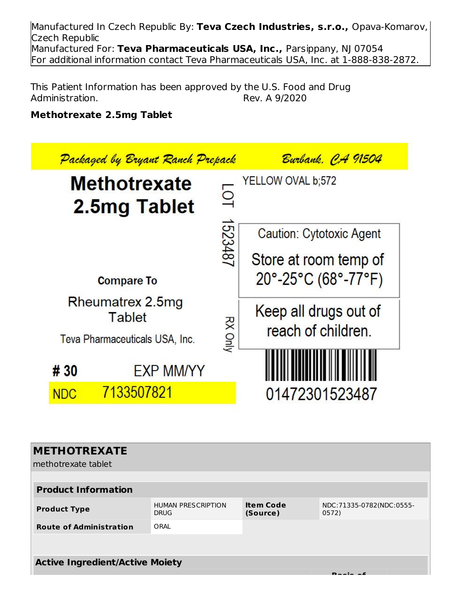Manufactured In Czech Republic By: **Teva Czech Industries, s.r.o.,** Opava-Komarov, Czech Republic Manufactured For: **Teva Pharmaceuticals USA, Inc.,** Parsippany, NJ 07054 For additional information contact Teva Pharmaceuticals USA, Inc. at 1-888-838-2872.

This Patient Information has been approved by the U.S. Food and Drug<br>Administration. Rev. A 9/2020 Administration.

### **Methotrexate 2.5mg Tablet**

|            | Packaged by Bryant Ranch Prepack                                    |                | <u> Burbank, CA 91504</u>                   |
|------------|---------------------------------------------------------------------|----------------|---------------------------------------------|
|            | <b>Methotrexate</b><br>2.5mg Tablet                                 | $\overline{O}$ | YELLOW OVAL b;572                           |
|            |                                                                     | 1523487        | Caution: Cytotoxic Agent                    |
|            |                                                                     |                | Store at room temp of                       |
|            | <b>Compare To</b>                                                   |                | $20^{\circ}$ -25°C (68°-77°F)               |
|            | Rheumatrex 2.5mg<br><b>Tablet</b><br>Teva Pharmaceuticals USA, Inc. | <b>RX Only</b> | Keep all drugs out of<br>reach of children. |
| # 30       | <b>EXP MM/YY</b>                                                    |                |                                             |
| <b>NDC</b> | 7133507821                                                          |                | 01472301523487                              |

| <b>METHOTREXATE</b><br>methotrexate tablet |                                          |                              |                                   |  |
|--------------------------------------------|------------------------------------------|------------------------------|-----------------------------------|--|
| <b>Product Information</b>                 |                                          |                              |                                   |  |
| <b>Product Type</b>                        | <b>HUMAN PRESCRIPTION</b><br><b>DRUG</b> | <b>Item Code</b><br>(Source) | NDC:71335-0782(NDC:0555-<br>0572) |  |
| <b>Route of Administration</b>             | ORAL                                     |                              |                                   |  |
|                                            |                                          |                              |                                   |  |
| <b>Active Ingredient/Active Moiety</b>     |                                          |                              |                                   |  |
|                                            |                                          |                              |                                   |  |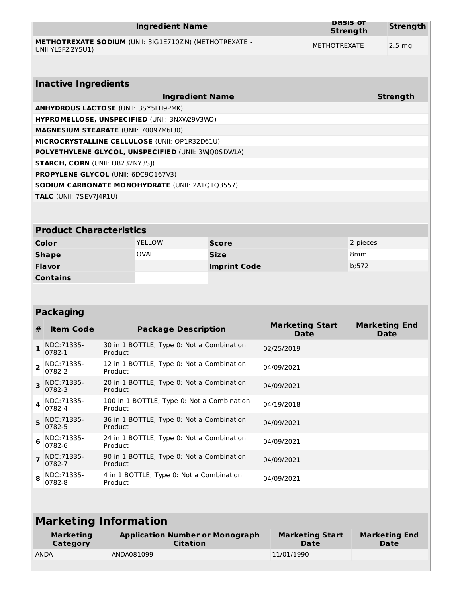| Ingredient Name                                                                     | <b>Basis</b> of<br><b>Strength</b> | <b>Strength</b>  |
|-------------------------------------------------------------------------------------|------------------------------------|------------------|
| <b>METHOTREXATE SODIUM (UNII: 3IG1E710ZN) (METHOTREXATE -</b><br>UNII: YL5FZ 2Y5U1) | METHOTREXATE                       | $2.5 \text{ ma}$ |

| <b>Inactive Ingredients</b>                            |                 |  |
|--------------------------------------------------------|-----------------|--|
| <b>Ingredient Name</b>                                 | <b>Strength</b> |  |
| <b>ANHYDROUS LACTOSE (UNII: 3SY5LH9PMK)</b>            |                 |  |
| <b>HYPROMELLOSE, UNSPECIFIED (UNII: 3NXW29V3WO)</b>    |                 |  |
| <b>MAGNESIUM STEARATE (UNII: 70097M6I30)</b>           |                 |  |
| <b>MICROCRYSTALLINE CELLULOSE (UNII: OP1R32D61U)</b>   |                 |  |
| POLYETHYLENE GLYCOL, UNSPECIFIED (UNII: 3WQ0SDWIA)     |                 |  |
| <b>STARCH, CORN (UNII: O8232NY3SJ)</b>                 |                 |  |
| <b>PROPYLENE GLYCOL (UNII: 6DC9Q167V3)</b>             |                 |  |
| <b>SODIUM CARBONATE MONOHYDRATE (UNII: 2A1Q1Q3557)</b> |                 |  |
| <b>TALC</b> (UNII: 7SEV7J4R1U)                         |                 |  |

#### **Product Characteristics**

| Color           | <b>YELLOW</b> | <b>Score</b>        | 2 pieces |
|-----------------|---------------|---------------------|----------|
| <b>Shape</b>    | <b>OVAL</b>   | <b>Size</b>         | 8mm      |
| <b>Flavor</b>   |               | <b>Imprint Code</b> | b:572    |
| <b>Contains</b> |               |                     |          |

# **Packaging**

| #              | <b>Item Code</b>       | <b>Package Description</b>                            | <b>Marketing Start</b><br>Date | <b>Marketing End</b><br>Date |
|----------------|------------------------|-------------------------------------------------------|--------------------------------|------------------------------|
|                | NDC: 71335-<br>0782-1  | 30 in 1 BOTTLE; Type 0: Not a Combination<br>Product  | 02/25/2019                     |                              |
| $\overline{2}$ | NDC: 71335-<br>0782-2  | 12 in 1 BOTTLE; Type 0: Not a Combination<br>Product  | 04/09/2021                     |                              |
| $\mathbf{R}$   | NDC: 71335-<br>0782-3  | 20 in 1 BOTTLE; Type 0: Not a Combination<br>Product  | 04/09/2021                     |                              |
| $\Delta$       | NDC: 71335-<br>0782-4  | 100 in 1 BOTTLE; Type 0: Not a Combination<br>Product | 04/19/2018                     |                              |
|                | 5 NDC:71335-<br>0782-5 | 36 in 1 BOTTLE; Type 0: Not a Combination<br>Product  | 04/09/2021                     |                              |
|                | NDC: 71335-<br>0782-6  | 24 in 1 BOTTLE; Type 0: Not a Combination<br>Product  | 04/09/2021                     |                              |
|                | NDC:71335-<br>0782-7   | 90 in 1 BOTTLE; Type 0: Not a Combination<br>Product  | 04/09/2021                     |                              |
| 8              | NDC: 71335-<br>0782-8  | 4 in 1 BOTTLE; Type 0: Not a Combination<br>Product   | 04/09/2021                     |                              |

| <b>Marketing Information</b> |                                                           |            |                              |
|------------------------------|-----------------------------------------------------------|------------|------------------------------|
| <b>Marketing</b><br>Category | <b>Application Number or Monograph</b><br><b>Citation</b> |            | <b>Marketing End</b><br>Date |
| <b>ANDA</b>                  | ANDA081099                                                | 11/01/1990 |                              |